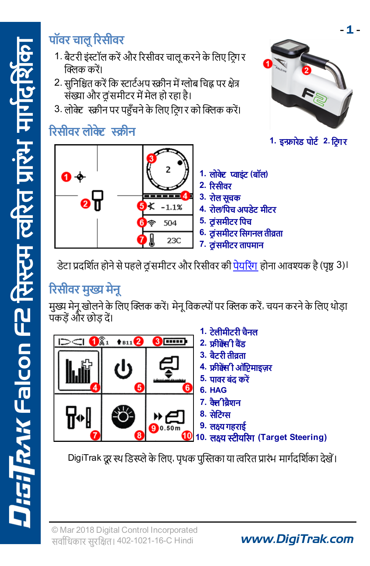#### पॉवर चाल रिसीवर

- 1. बैटरी इंस्टॉल करें और रिसीवर चालू करने के लिए टिंग र क्लिक करें।
- 2. सनिश्चित करें कि स्टार्टअप स्क्रीन में ग्लोब चिह्न पर क्षेत्र .<br>संख्या और व समीटर में मेल हो रहा है।
- 3. लोक्ट स्क्रीन पर पहुँचने के लिए टिंग र को क्लिक करें।

#### रिसीवर लोक्ट स्क्रीन



डेटा प्रदर्शित होने से पहले व समीटर और रिसीवर की पेयरिंग होना आवश्यक है (पृष्ठ 3)।

## रिसीवर मुख्य मेनू

मुख्य मेनू खोलने के लिए क्लिक करें। मेनू विकल्पों पर क्लिक करें, चयन करने के लिए थोड़ा पॅकडें और छोड दें।



DigiTrak दूर स्थ डिस्प्ले के लिए, पृथक पुस्तिका या त्वरित प्रारंभ मार्गदर्शिका देखें।

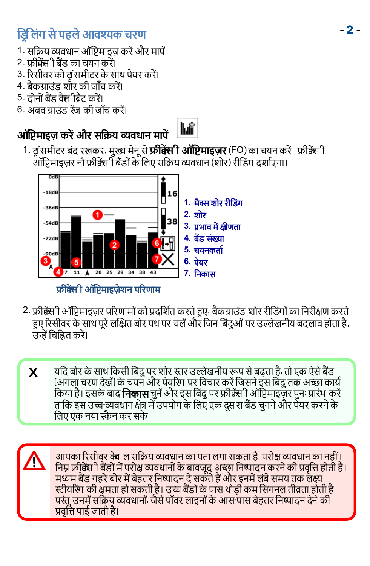#### **डिलिंग से पहले आवश्यक चरण**

- 1. सक्रिय व्यवधान ऑप्टिमाइज़ करें और मापें।
- 2. फ्रीक्वेंसी बैंड का चयन करें।
- 3. रिसीवर को ट्रांसमीटर के साथ पेयर करें।
- 4. बैकग्राउंड शोर की जाँच करें।
- 5. टोनों बैंड कैलीबैट करें।
- 6. अबव ग्राउंड रेंज की जाँच करें।

#### ऑप्टिमाइज़ करें और सक्रिय व्यवधान मापें

- hiř
- 1. टांसमीटर बंद रखकर, मुख्य मेनू से **फ्रीक्सी ऑप्टिमाइज़र** (FO) का चयन करें। फ्रीक्सेंी आॅप्टिमाइज़र नौ फ्रीक्क्सी बैंडों के लिए सक्रिय व्यवधान (शोर) रीडिंग दर्शाएगा।



- 2. फ्रीक्सेपी ऑप्टिमाइज़र परिणामों को प्रदर्शित करते हुए, बैकग्राउंड शोर रीडिंगों का निरीक्षण करते हए रिसीवर के साथ परे लक्षित बोर पथ पर चलें और जिन बिंदओं पर उल्लेखनीय बदलाव होता है. उन्हें चिह्नित करें।
	- **X** यदि बोर के साथ किसी बिंदु पर शोर स्तर उल्लेखनीय रूप से बढ़ता है, तो एक ऐसे बैंड (अगला चरण देखें) के चयन और पेयरिंग पर विचार करें जिसने इस बिंद तक अच्छा कार्य किया है। इसके बाद **निकास** चुनें और इस बिंदु पर फ्रीक्केरी ऑप्टिमाइज़र पुन: प्रारंभ करें ताकि इस उच्च व्यवधान क्षेत्र में उपयोग के लिए एक दस रा बैंड चनने और पैयर करने के लिए एक नया स्कैन कर सके

आपका रिसीवर क्वे ल सक्रिय व्यवधान का पता लगा सकता है, परोक्ष व्यवधान का नहीं । निम्न फ्रीक्सेंग ी बैंडों में परोक्ष व्यवधानों के बावजूद अच्छा निष्पादन करने की प्रवृत्ति होती है। मध्यम बैंड गहरे बोर में बेहतर निष्पादन दे सकते हैं और इनमें लंबे समय तक लक्ष्य स्टीयरिंग की क्षमता हो सकती है। उच्च बैंडों के पास थोडी कम सिगनल तीव्रता होती है, परंतु उनमें सक्रिय व्यवधानों जैसे पॉवर लाइनों के आस पास बेहतर निष्पादन देने की प्रवर्त्ति पाई जाती है।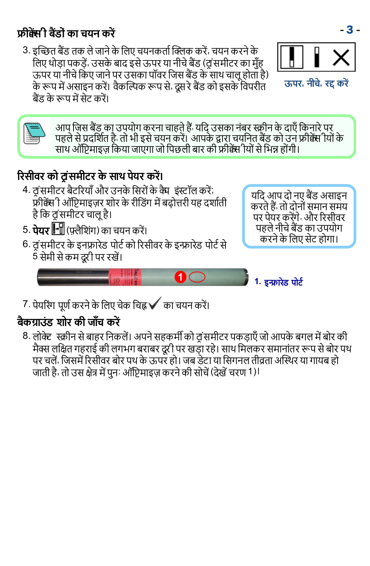#### **फीबेंसी बैंडों का चयन करें** से साथ से साथ से साथ से साथ से अपनी के बीच की बीच की बीच की बीच की बीच की बीच की ब

3. इन्छित बैंड तक ले जाने के लिए चयनकर्ता क्लिक करें, चयन करने के लिए थोडा पकड़ें, उसके बाद इसे ऊपर या नीचे बैंड (टांसमीटर का मँह ऊपर या नीचे किए जाने पर उसका पॉवर जिस बैंड के साथ चाल होता है) के रूप में असाइन करें। वैकल्पिक रूप से, दूस रे बैंड को इसके विपरीत <u>बैंड के रूप में सेट करें।</u>



आप जिस बैंड का उपयोग करना चाहते हैं; यदि उसका नंबर स्क्रीन के दाएँ किनारे पर पहले से प्रदर्शित है. तो भी इसे चयन करें। आपके द्वारा चयनित बैंड को उन फ्रीक्कें ीयों के साथ ऑप्टिमाइज़ किया जाएगा जो पिछली बार की फ्रीक्केंस थिों से भिन्न होंगी।

#### <span id="page-2-0"></span>रिसीवर को ट्रांसमीटर के साथ पेयर करें।

- 4. वंसमीटर बैटरियाँ और उनके सिरों के कैम इंस्टॉल करें; .<br>फ्रीक्वेंस 1 ऑप्टिमाइज़र शोर के रीडिंग में बढोत्तरी यह दर्शाती है कि टांसमीटर चालू है।
- 5. **पेयर -ि**(फ्लैशिंग) का चयन करें।
- 6. वंसमीटर के इनफ्रारेड पोर्ट को रिसीवर के इन्फ्रारेड पोर्ट से 5 सेमी से कम दरी पर रखें।

यदि आप दो नए बैंड असाइन करते हैं, तो दोनों समान समय पर पेयर करेंगे. और रिसीवर पहले नीचे बैंड का उपयोग करने के लिए सेट होगा।



7. पेयरिंग पूर्ण करने के लिए चेक चिह्न √ का चयन करें।

#### बैकग्राउंड शोर की जाँच करें

8. लोक्ट स्क्रीन से बाहर निकलें। अपने सहकर्मी को टांसमीटर पकडाएँ जो आपके बगल में बोर की मैक्स लक्षित गहराई की लगभग बराबर दरी पर खड़ा रहे। साथ मिलकर समानांतर रूप से बोर पथ पर चलें, जिसमें रिसीवर बोर पथ के ऊपर हो। जब डेटा या सिगनल तीव्रता अस्थिर या गायब हो जाती है, तो उस क्षेत्र में पुनः ऑप्टिमाइज़ करने की सोचें (देखें चरण 1)।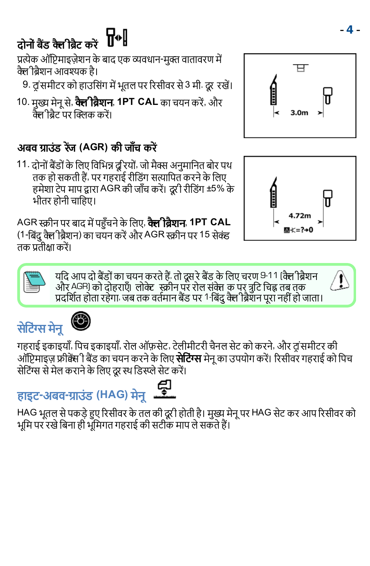#### ₩ <u> दोनों बैंड कैलीबैट करें</u>

प्रत्येक ऑप्टिमाइज़ेशन के बाद एक व्यवधान-मक्त वातावरण में कैल विशन आवश्यक है।

9. टांसमीटर को हाउसिंग में भूतल पर रिसीवर से 3 मी. दूर रखें।

10. मुख्य मेनू से, **क्ले ब्रिशन, 1PT CAL** का चयन करें, और केलीबेट पर क्लिक करें।

#### अबव ग्राउंड रेंज (AGR) की जाँच करें

11. दोनों बैंडों के लिए विभिन्न दुरियों, जो मैक्स अनुमानित बोर पथ तक हो सकती हैं, पर गहराई रीडिंग सत्यापित करने के लिए हमेशा टेप माप द्वारा AGR की जाँच करें। दूरी रीडिंग ±5% के भीतर होनी चाहिए।

AG  **1PT CAL** (1-बिंदु क्लेीब्रैशन) का चयन करें और AGR स्क्रीन पर 15 सेक्ंड तक प्रतीक्षा करें।

> यदि आप दो बैंडों का चयन करते हैं; तो दूस रे बैंड के लिए चरण 9-11 (क्ले )ब्रैशन और <sup>AGR)</sup> को दोहराएँ। लोक्ट स्क्रीन पर रोल संक्त क पर त्रटि चिह्न तब तक प्रदर्शित होता रहेगा. जब तक वर्तमान बैंड पर <sup>1-</sup>बिंदु क्ले ब्रिशन पूरा नहीं हो जाता।



# हाइट-अबव-ग्राउंड (HAG) मेन**्ट्रि**

HAG भूतल से पकड़े हुए रिसीवर के तल की दूरी होती है। मुख्य मेनू पर HAG सेट कर आप रिसीवर को भूमि पर रखे बिना ही भूमिगत गहराई की सटीक माप ले सकते हैं।



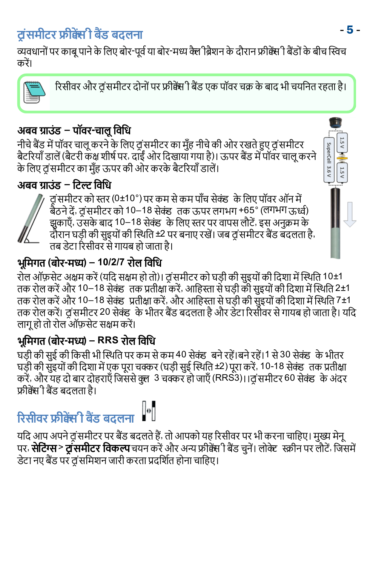### टांसमीटर फ्रीक्षेंसी बैंड बढलना

व्यवधानों पर काब पाने के लिए बोर-पर्व या बोर-मध्य क्लै ब्रिशन के दौरान फ्रीक्कें! वैंडों के बीच स्विच करें।



रिसीवर और व समीटर दोनों पर फ्रीक्षेंस ी बैंड एक पॉवर चक्र के बाद भी चयनित रहता है।

#### अबव ग्राउंड – पॉवर-चालू विधि

नीचे बैंड में पॉवर चालू करने के लिए ट्रांसमीटर का मुँह नीचे की ओर रखते हुए ट्रांसमीटर बैटरियाँ डालें (बैटरी कंक्ष शीर्ष पर, दाईं ओर दिखायाँ गया है)। ऊपर बैंड में पॉवर चाल करने के लिए व समीटर का मुँह ऊपर की ओर करके बैटरियाँ डालें।

#### अबव ग्राउंड – टिल्ट विधि



व समीटर को स्तर (0±10°) पर कम से कम पाँच सेक्ंड के लिए पॉवर ऑन में बैठने दें, ट्रांसमीटर को 10–18 सेक्ंड) तक ऊपर लगभग +65° (लगभग ऊर्ध्व) झुकाएँ, उसके बाद 10–18 सेक्ंड) के लिए स्तर पर वापस लौटें, इस अनुक्रम के दौरान घड़ी की सुइयों की स्थिति ±2 पर बनाए रखें। जब व समीटर बैंड बदलता है, तब डेटा रिसीवर से गायब हो जाता है।

#### भूमिगत (बोर-मध्य) – 10/2/7 रोल विधि

रोल ऑफ़सेट अक्षम करें (यदि सक्षम हो तो)। व़ंसमीटर को घड़ी की सुइयों की दिशा में स्थिति 10±1 तक रोल करें और 10−18 सेक्ंड) तक प्रतीक्षा करें, आहिस्ता से घड़ी की सुइयों की दिशा में स्थिति 2±1 ...<br>तक रोल करें और 10–18 सेक्ंड प्रतीक्षा करें, और आहिस्ता से घड़ी की सुइयों की दिशा में स्थिति 7±1 तक रोल करें। टांसमीटर 20 सेक्ंड के भीतर बैंड बदलता है और डेटा रिसीवर से गायब हो जाता है। यदि लाग हो तो रोल ऑफ़सेट सक्षम करें।

#### भूमिगत (बोर-मध्य) – RRS रोल विधि

घड़ी की सुई की किसी भी स्थिति पर कम से कम 40 सेक्ंड बने रहें।बने रहें। से 30 सेक्ंड के भीतर करें, और यह दो बार दोहराएँ जिससे क्लु 3 चक्कर हो जाएँ (RRS3)।।व समीटर 60 सेक्ंड के अंदर फ्रीक्वेंसी बैंड बटलता है।

## रिसीवर फ्रीक्षेसी बैंड बदलना ||"|

यदि आप अपने व समीटर पर बैंड बदलते हैं, तो आपको यह रिसीवर पर भी करना चाहिए। मुख्य मेनू पर, **सेटिंग्स > टांसमीटर विकल्प** चयन करें और अन्य फ्रीक्केंस ी बैंड चुनें। लोक्ट स्क्रीन पर लौटें, जिसमें डेटा नए बैंड पर दांसमिशन जारी करता प्रदर्शित होना चाहिए।

SuperCell 3.6 V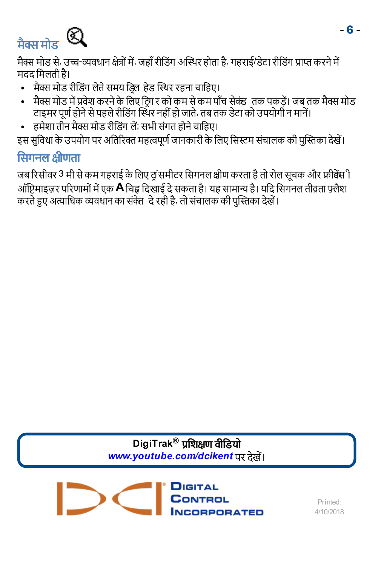<span id="page-5-0"></span>

मैक्स मोड से, उच्च-व्यवधान क्षेत्रों में, जहाँ रीडिंग अस्थिर होता है, गहराई/डेटा रीडिंग प्राप्त करने में मदद मिलती है।

- मैक्स मोड रीडिंग लेते समय डिल हेड स्थिर रहना चाहिए।
- मैक्स मोड में प्रवेश करने के लिए टि्ग र को कम से कम पाँच सेक्ंड) तक पकड़ें। जब तक मैक्स मोड टाइमर पूर्ण होने से पहले रीडिंग स्थिर नहीं हो जाते, तब तक डेटा को उपयोगी न मानें।
- हमेशा तीन मैक्स मोड रीडिंग लें; सभी संगत होने चाहिए।

इस सुविधा के उपयोग पर अतिरिक्त महत्वपूर्ण जानकारी के लिए सिस्टम संचालक की पुस्तिका देखें।

#### सिगनल क्षीणता

जब रिसीवर 3 मी से कम गहराई के लिए ट्रांसमीटर सिगनल क्षीण करता है तो रोल सूचक और फ्रीक्वेंस ी ऑप्टिमाइज़र परिणामों में एक **A** चिह्न दिखाई दे सकता है। यह सामान्य है। यदि सिगनल तीव्रता फ़्लैश करते हुए अत्याधिक व्यवधान का संकेत दे रही है, तो संचालक की पुस्तिका देखें।

> DigiTrak<sup>®</sup> प्रशिक्षण वीडियो www.youtube.com/dcikent पर देखें।

**PPOPATED** 

Printed<sup>®</sup> 4/10/2018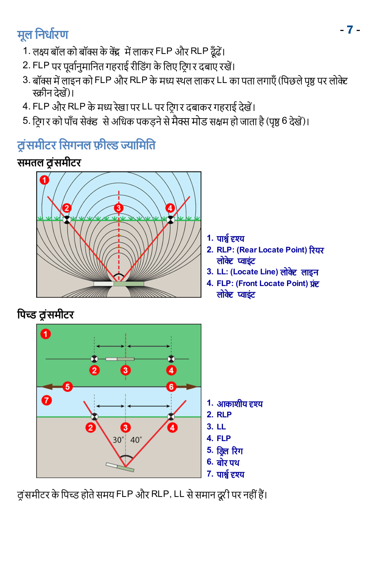## - 7 -

- 1. लक्ष्य बॉल को बॉक्स के केंद्र में लाकर FLP और RLP ढँढें।
- 2. FLP पर पूर्वानुमानित गहराई रीडिंग के लिए टिग र दबाए रखें।
- 3. बॉक्स में लाइन को FLP और RLP के मध्य स्थल लाकर LL का पता लगाएँ (पिछले पृष्ठ पर लोक्टे स्कीन देखें)।
- 4. FLP और RLP के मध्य रेखा पर LL पर टिंग र दबाकर गहराई देखें।
- 5. टिगर को पाँच सेक्ंड से अधिक पकड़ने से मैक्स मोड सक्षम हो जाता है (पृष्ठ [6](#page-5-0) देखें)।

#### ट्रांसमीटर सिगनल फ़ील्ड ज्यामिति

#### समतल ट्रंसमीटर



**1.**

- **2. RLP: Rear Locate Point** लोकेट प्वाइंट
- **3. LL: Locate Line**
- **4. FLP: Front Locate Point** लोकेट प्वाइंट



व ंसमीटर के पिच्ड होते समय FLP और RLP, LL से समान दूरी पर नहीं हैं।